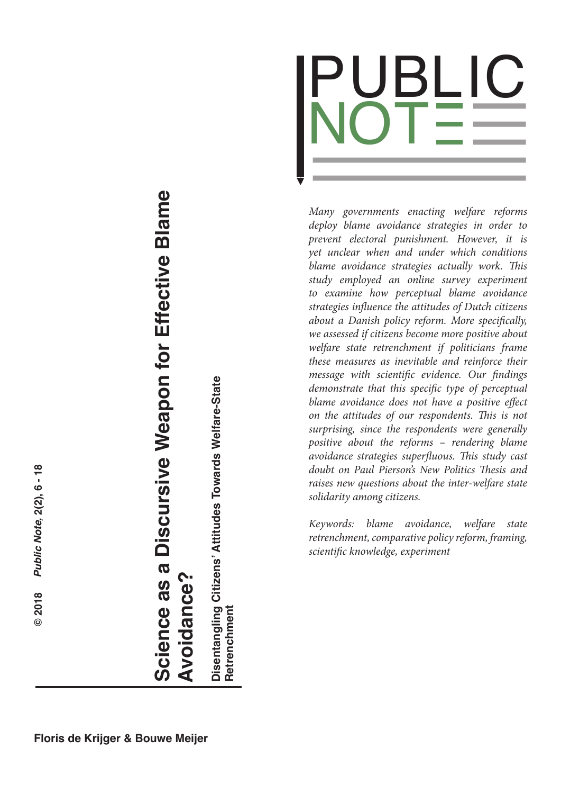

*Many governments enacting welfare reforms deploy blame avoidance strategies in order to prevent electoral punishment. However, it is yet unclear when and under which conditions blame avoidance strategies actually work. This study employed an online survey experiment to examine how perceptual blame avoidance strategies influence the attitudes of Dutch citizens about a Danish policy reform. More specifically, we assessed if citizens become more positive about welfare state retrenchment if politicians frame these measures as inevitable and reinforce their message with scientific evidence. Our findings demonstrate that this specific type of perceptual blame avoidance does not have a positive effect on the attitudes of our respondents. This is not surprising, since the respondents were generally positive about the reforms – rendering blame avoidance strategies superfluous. This study cast doubt on Paul Pierson's New Politics Thesis and raises new questions about the inter-welfare state solidarity among citizens.*

*Keywords: blame avoidance, welfare state retrenchment, comparative policy reform, framing, scientific knowledge, experiment*

 $\odot$ 

# Science as a Discursive Weapon for Effective Blame  **Science as a Discursive Weapon for Effective Blame Avoidance? Avoidance?**

Disentangling Citizens' Attitudes Towards Welfare-State<br>Retrenchment **Disentangling Citizens' Attitudes Towards Welfare-State Retrenchment**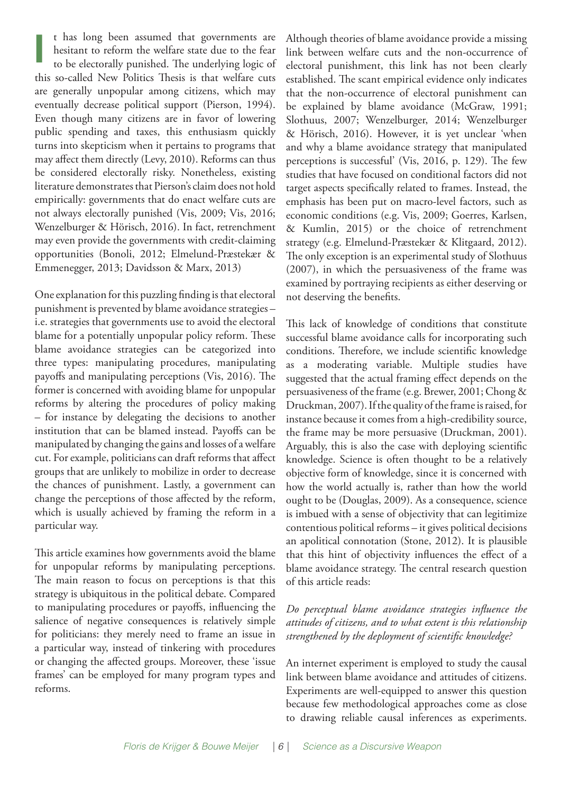t has long been assumed that governments are hesitant to reform the welfare state due to the fear to be electorally punished. The underlying logic of this so-called New Politics Thesis is that welfare cuts are generally unpopular among citizens, which may eventually decrease political support (Pierson, 1994). Even though many citizens are in favor of lowering public spending and taxes, this enthusiasm quickly turns into skepticism when it pertains to programs that may affect them directly (Levy, 2010). Reforms can thus be considered electorally risky. Nonetheless, existing literature demonstrates that Pierson's claim does not hold empirically: governments that do enact welfare cuts are not always electorally punished (Vis, 2009; Vis, 2016; Wenzelburger & Hörisch, 2016). In fact, retrenchment may even provide the governments with credit-claiming opportunities (Bonoli, 2012; Elmelund-Præstekær & Emmenegger, 2013; Davidsson & Marx, 2013) **I**

One explanation for this puzzling finding is that electoral punishment is prevented by blame avoidance strategies – i.e. strategies that governments use to avoid the electoral blame for a potentially unpopular policy reform. These blame avoidance strategies can be categorized into three types: manipulating procedures, manipulating payoffs and manipulating perceptions (Vis, 2016). The former is concerned with avoiding blame for unpopular reforms by altering the procedures of policy making – for instance by delegating the decisions to another institution that can be blamed instead. Payoffs can be manipulated by changing the gains and losses of a welfare cut. For example, politicians can draft reforms that affect groups that are unlikely to mobilize in order to decrease the chances of punishment. Lastly, a government can change the perceptions of those affected by the reform, which is usually achieved by framing the reform in a particular way.

This article examines how governments avoid the blame for unpopular reforms by manipulating perceptions. The main reason to focus on perceptions is that this strategy is ubiquitous in the political debate. Compared to manipulating procedures or payoffs, influencing the salience of negative consequences is relatively simple for politicians: they merely need to frame an issue in a particular way, instead of tinkering with procedures or changing the affected groups. Moreover, these 'issue frames' can be employed for many program types and reforms.

Although theories of blame avoidance provide a missing link between welfare cuts and the non-occurrence of electoral punishment, this link has not been clearly established. The scant empirical evidence only indicates that the non-occurrence of electoral punishment can be explained by blame avoidance (McGraw, 1991; Slothuus, 2007; Wenzelburger, 2014; Wenzelburger & Hörisch, 2016). However, it is yet unclear 'when and why a blame avoidance strategy that manipulated perceptions is successful' (Vis, 2016, p. 129). The few studies that have focused on conditional factors did not target aspects specifically related to frames. Instead, the emphasis has been put on macro-level factors, such as economic conditions (e.g. Vis, 2009; Goerres, Karlsen, & Kumlin, 2015) or the choice of retrenchment strategy (e.g. Elmelund-Præstekær & Klitgaard, 2012). The only exception is an experimental study of Slothuus (2007), in which the persuasiveness of the frame was examined by portraying recipients as either deserving or not deserving the benefits.

This lack of knowledge of conditions that constitute successful blame avoidance calls for incorporating such conditions. Therefore, we include scientific knowledge as a moderating variable. Multiple studies have suggested that the actual framing effect depends on the persuasiveness of the frame (e.g. Brewer, 2001; Chong & Druckman, 2007). If the quality of the frame is raised, for instance because it comes from a high-credibility source, the frame may be more persuasive (Druckman, 2001). Arguably, this is also the case with deploying scientific knowledge. Science is often thought to be a relatively objective form of knowledge, since it is concerned with how the world actually is, rather than how the world ought to be (Douglas, 2009). As a consequence, science is imbued with a sense of objectivity that can legitimize contentious political reforms – it gives political decisions an apolitical connotation (Stone, 2012). It is plausible that this hint of objectivity influences the effect of a blame avoidance strategy. The central research question of this article reads:

#### *Do perceptual blame avoidance strategies influence the attitudes of citizens, and to what extent is this relationship strengthened by the deployment of scientific knowledge?*

An internet experiment is employed to study the causal link between blame avoidance and attitudes of citizens. Experiments are well-equipped to answer this question because few methodological approaches come as close to drawing reliable causal inferences as experiments.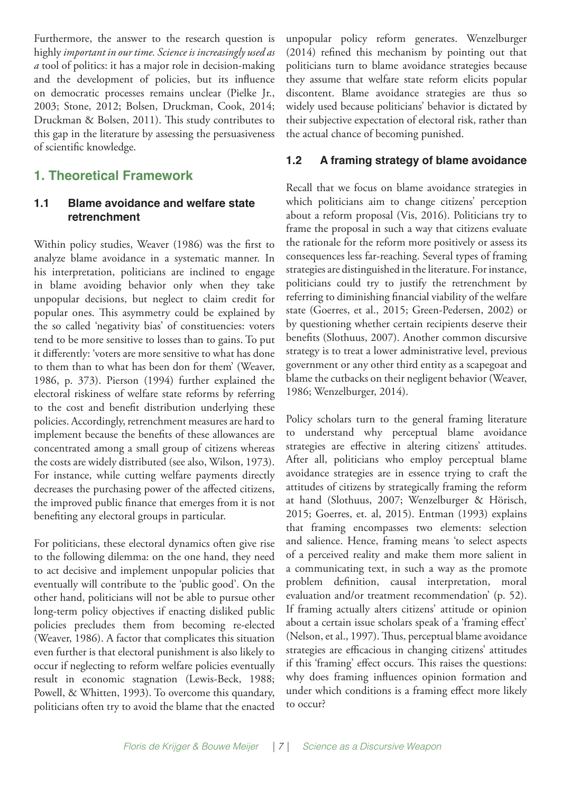Furthermore, the answer to the research question is highly *important in our time. Science is increasingly used as a* tool of politics: it has a major role in decision-making and the development of policies, but its influence on democratic processes remains unclear (Pielke Jr., 2003; Stone, 2012; Bolsen, Druckman, Cook, 2014; Druckman & Bolsen, 2011). This study contributes to this gap in the literature by assessing the persuasiveness of scientific knowledge.

# **1. Theoretical Framework**

# **1.1 Blame avoidance and welfare state retrenchment**

Within policy studies, Weaver (1986) was the first to analyze blame avoidance in a systematic manner. In his interpretation, politicians are inclined to engage in blame avoiding behavior only when they take unpopular decisions, but neglect to claim credit for popular ones. This asymmetry could be explained by the so called 'negativity bias' of constituencies: voters tend to be more sensitive to losses than to gains. To put it differently: 'voters are more sensitive to what has done to them than to what has been don for them' (Weaver, 1986, p. 373). Pierson (1994) further explained the electoral riskiness of welfare state reforms by referring to the cost and benefit distribution underlying these policies. Accordingly, retrenchment measures are hard to implement because the benefits of these allowances are concentrated among a small group of citizens whereas the costs are widely distributed (see also, Wilson, 1973). For instance, while cutting welfare payments directly decreases the purchasing power of the affected citizens, the improved public finance that emerges from it is not benefiting any electoral groups in particular.

For politicians, these electoral dynamics often give rise to the following dilemma: on the one hand, they need to act decisive and implement unpopular policies that eventually will contribute to the 'public good'. On the other hand, politicians will not be able to pursue other long-term policy objectives if enacting disliked public policies precludes them from becoming re-elected (Weaver, 1986). A factor that complicates this situation even further is that electoral punishment is also likely to occur if neglecting to reform welfare policies eventually result in economic stagnation (Lewis-Beck, 1988; Powell, & Whitten, 1993). To overcome this quandary, politicians often try to avoid the blame that the enacted

unpopular policy reform generates. Wenzelburger (2014) refined this mechanism by pointing out that politicians turn to blame avoidance strategies because they assume that welfare state reform elicits popular discontent. Blame avoidance strategies are thus so widely used because politicians' behavior is dictated by their subjective expectation of electoral risk, rather than the actual chance of becoming punished.

# **1.2 A framing strategy of blame avoidance**

Recall that we focus on blame avoidance strategies in which politicians aim to change citizens' perception about a reform proposal (Vis, 2016). Politicians try to frame the proposal in such a way that citizens evaluate the rationale for the reform more positively or assess its consequences less far-reaching. Several types of framing strategies are distinguished in the literature. For instance, politicians could try to justify the retrenchment by referring to diminishing financial viability of the welfare state (Goerres, et al., 2015; Green-Pedersen, 2002) or by questioning whether certain recipients deserve their benefits (Slothuus, 2007). Another common discursive strategy is to treat a lower administrative level, previous government or any other third entity as a scapegoat and blame the cutbacks on their negligent behavior (Weaver, 1986; Wenzelburger, 2014).

Policy scholars turn to the general framing literature to understand why perceptual blame avoidance strategies are effective in altering citizens' attitudes. After all, politicians who employ perceptual blame avoidance strategies are in essence trying to craft the attitudes of citizens by strategically framing the reform at hand (Slothuus, 2007; Wenzelburger & Hörisch, 2015; Goerres, et. al, 2015). Entman (1993) explains that framing encompasses two elements: selection and salience. Hence, framing means 'to select aspects of a perceived reality and make them more salient in a communicating text, in such a way as the promote problem definition, causal interpretation, moral evaluation and/or treatment recommendation' (p. 52). If framing actually alters citizens' attitude or opinion about a certain issue scholars speak of a 'framing effect' (Nelson, et al., 1997). Thus, perceptual blame avoidance strategies are efficacious in changing citizens' attitudes if this 'framing' effect occurs. This raises the questions: why does framing influences opinion formation and under which conditions is a framing effect more likely to occur?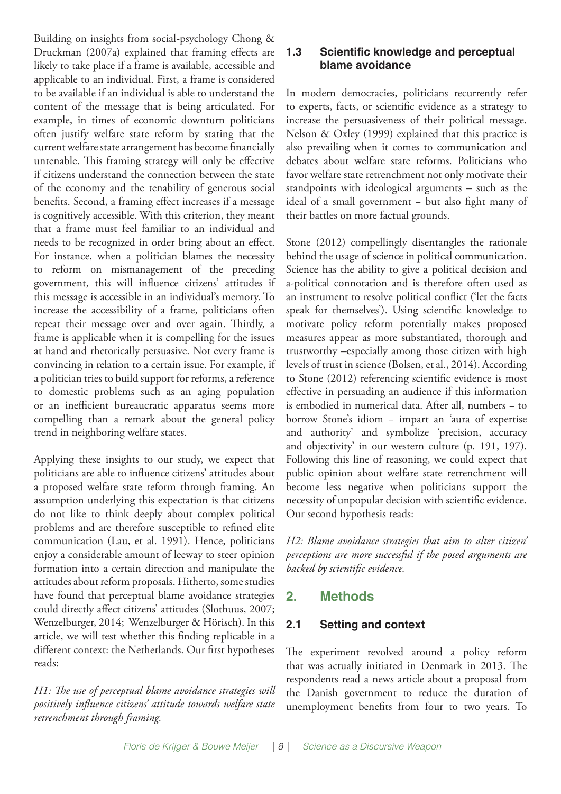Building on insights from social-psychology Chong & Druckman (2007a) explained that framing effects are likely to take place if a frame is available, accessible and applicable to an individual. First, a frame is considered to be available if an individual is able to understand the content of the message that is being articulated. For example, in times of economic downturn politicians often justify welfare state reform by stating that the current welfare state arrangement has become financially untenable. This framing strategy will only be effective if citizens understand the connection between the state of the economy and the tenability of generous social benefits. Second, a framing effect increases if a message is cognitively accessible. With this criterion, they meant that a frame must feel familiar to an individual and needs to be recognized in order bring about an effect. For instance, when a politician blames the necessity to reform on mismanagement of the preceding government, this will influence citizens' attitudes if this message is accessible in an individual's memory. To increase the accessibility of a frame, politicians often repeat their message over and over again. Thirdly, a frame is applicable when it is compelling for the issues at hand and rhetorically persuasive. Not every frame is convincing in relation to a certain issue. For example, if a politician tries to build support for reforms, a reference to domestic problems such as an aging population or an inefficient bureaucratic apparatus seems more compelling than a remark about the general policy trend in neighboring welfare states.

Applying these insights to our study, we expect that politicians are able to influence citizens' attitudes about a proposed welfare state reform through framing. An assumption underlying this expectation is that citizens do not like to think deeply about complex political problems and are therefore susceptible to refined elite communication (Lau, et al. 1991). Hence, politicians enjoy a considerable amount of leeway to steer opinion formation into a certain direction and manipulate the attitudes about reform proposals. Hitherto, some studies have found that perceptual blame avoidance strategies could directly affect citizens' attitudes (Slothuus, 2007; Wenzelburger, 2014; Wenzelburger & Hörisch). In this article, we will test whether this finding replicable in a different context: the Netherlands. Our first hypotheses reads:

*H1: The use of perceptual blame avoidance strategies will positively influence citizens' attitude towards welfare state retrenchment through framing.* 

## **1.3 Scientific knowledge and perceptual blame avoidance**

In modern democracies, politicians recurrently refer to experts, facts, or scientific evidence as a strategy to increase the persuasiveness of their political message. Nelson & Oxley (1999) explained that this practice is also prevailing when it comes to communication and debates about welfare state reforms. Politicians who favor welfare state retrenchment not only motivate their standpoints with ideological arguments – such as the ideal of a small government − but also fight many of their battles on more factual grounds.

Stone (2012) compellingly disentangles the rationale behind the usage of science in political communication. Science has the ability to give a political decision and a-political connotation and is therefore often used as an instrument to resolve political conflict ('let the facts speak for themselves'). Using scientific knowledge to motivate policy reform potentially makes proposed measures appear as more substantiated, thorough and trustworthy –especially among those citizen with high levels of trust in science (Bolsen, et al., 2014). According to Stone (2012) referencing scientific evidence is most effective in persuading an audience if this information is embodied in numerical data. After all, numbers − to borrow Stone's idiom − impart an 'aura of expertise and authority' and symbolize 'precision, accuracy and objectivity' in our western culture (p. 191, 197). Following this line of reasoning, we could expect that public opinion about welfare state retrenchment will become less negative when politicians support the necessity of unpopular decision with scientific evidence. Our second hypothesis reads:

*H2: Blame avoidance strategies that aim to alter citizen' perceptions are more successful if the posed arguments are backed by scientific evidence.* 

# **2. Methods**

#### **2.1 Setting and context**

The experiment revolved around a policy reform that was actually initiated in Denmark in 2013. The respondents read a news article about a proposal from the Danish government to reduce the duration of unemployment benefits from four to two years. To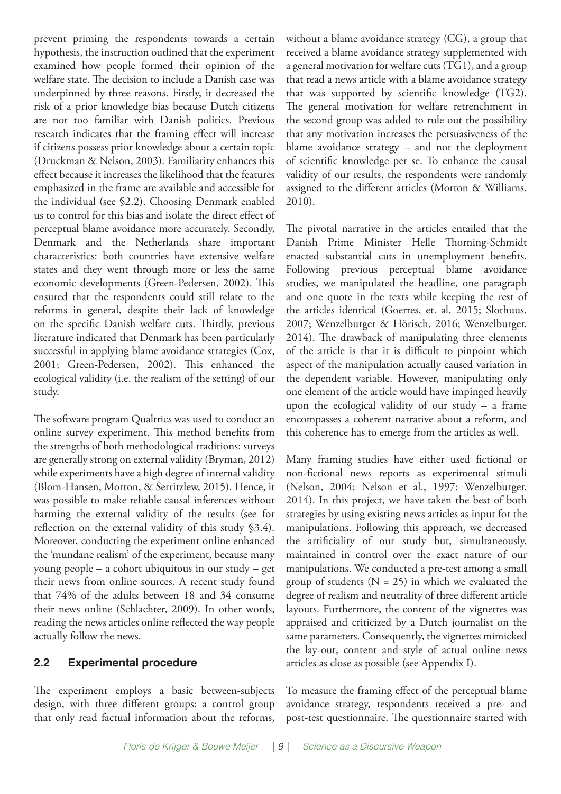prevent priming the respondents towards a certain hypothesis, the instruction outlined that the experiment examined how people formed their opinion of the welfare state. The decision to include a Danish case was underpinned by three reasons. Firstly, it decreased the risk of a prior knowledge bias because Dutch citizens are not too familiar with Danish politics. Previous research indicates that the framing effect will increase if citizens possess prior knowledge about a certain topic (Druckman & Nelson, 2003). Familiarity enhances this effect because it increases the likelihood that the features emphasized in the frame are available and accessible for the individual (see §2.2). Choosing Denmark enabled us to control for this bias and isolate the direct effect of perceptual blame avoidance more accurately. Secondly, Denmark and the Netherlands share important characteristics: both countries have extensive welfare states and they went through more or less the same economic developments (Green-Pedersen, 2002). This ensured that the respondents could still relate to the reforms in general, despite their lack of knowledge on the specific Danish welfare cuts. Thirdly, previous literature indicated that Denmark has been particularly successful in applying blame avoidance strategies (Cox, 2001; Green-Pedersen, 2002). This enhanced the ecological validity (i.e. the realism of the setting) of our study.

The software program Qualtrics was used to conduct an online survey experiment. This method benefits from the strengths of both methodological traditions: surveys are generally strong on external validity (Bryman, 2012) while experiments have a high degree of internal validity (Blom-Hansen, Morton, & Serritzlew, 2015). Hence, it was possible to make reliable causal inferences without harming the external validity of the results (see for reflection on the external validity of this study §3.4). Moreover, conducting the experiment online enhanced the 'mundane realism' of the experiment, because many young people – a cohort ubiquitous in our study – get their news from online sources. A recent study found that 74% of the adults between 18 and 34 consume their news online (Schlachter, 2009). In other words, reading the news articles online reflected the way people actually follow the news.

#### **2.2 Experimental procedure**

The experiment employs a basic between-subjects design, with three different groups: a control group that only read factual information about the reforms,

without a blame avoidance strategy (CG), a group that received a blame avoidance strategy supplemented with a general motivation for welfare cuts (TG1), and a group that read a news article with a blame avoidance strategy that was supported by scientific knowledge (TG2). The general motivation for welfare retrenchment in the second group was added to rule out the possibility that any motivation increases the persuasiveness of the blame avoidance strategy – and not the deployment of scientific knowledge per se. To enhance the causal validity of our results, the respondents were randomly assigned to the different articles (Morton & Williams, 2010).

The pivotal narrative in the articles entailed that the Danish Prime Minister Helle Thorning-Schmidt enacted substantial cuts in unemployment benefits. Following previous perceptual blame avoidance studies, we manipulated the headline, one paragraph and one quote in the texts while keeping the rest of the articles identical (Goerres, et. al, 2015; Slothuus, 2007; Wenzelburger & Hörisch, 2016; Wenzelburger, 2014). The drawback of manipulating three elements of the article is that it is difficult to pinpoint which aspect of the manipulation actually caused variation in the dependent variable. However, manipulating only one element of the article would have impinged heavily upon the ecological validity of our study – a frame encompasses a coherent narrative about a reform, and this coherence has to emerge from the articles as well.

Many framing studies have either used fictional or non-fictional news reports as experimental stimuli (Nelson, 2004; Nelson et al., 1997; Wenzelburger, 2014). In this project, we have taken the best of both strategies by using existing news articles as input for the manipulations. Following this approach, we decreased the artificiality of our study but, simultaneously, maintained in control over the exact nature of our manipulations. We conducted a pre-test among a small group of students ( $N = 25$ ) in which we evaluated the degree of realism and neutrality of three different article layouts. Furthermore, the content of the vignettes was appraised and criticized by a Dutch journalist on the same parameters. Consequently, the vignettes mimicked the lay-out, content and style of actual online news articles as close as possible (see Appendix I).

To measure the framing effect of the perceptual blame avoidance strategy, respondents received a pre- and post-test questionnaire. The questionnaire started with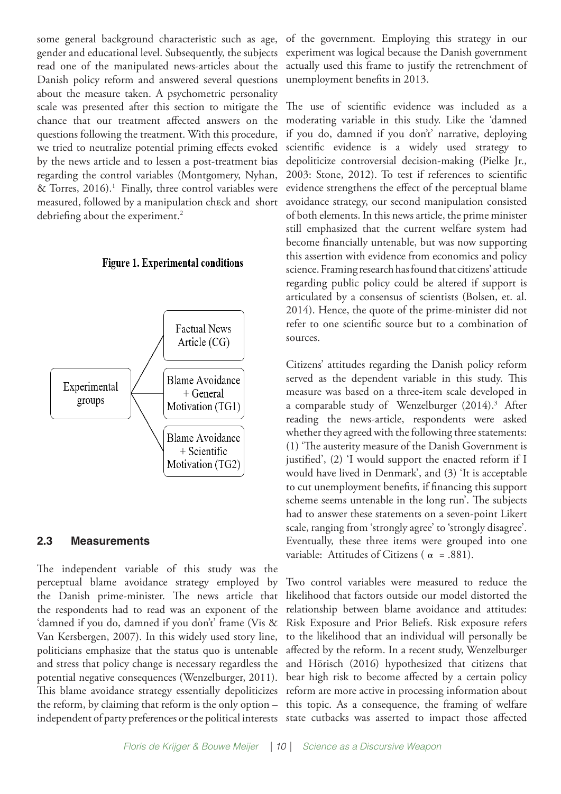some general background characteristic such as age, gender and educational level. Subsequently, the subjects read one of the manipulated news-articles about the Danish policy reform and answered several questions about the measure taken. A psychometric personality scale was presented after this section to mitigate the chance that our treatment affected answers on the questions following the treatment. With this procedure, we tried to neutralize potential priming effects evoked by the news article and to lessen a post-treatment bias regarding the control variables (Montgomery, Nyhan, & Torres,  $2016$ .<sup>1</sup> Finally, three control variables were measured, followed by a manipulation check and short debriefing about the experiment.<sup>2</sup>

#### **Figure 1. Experimental conditions**



#### **2.3 Measurements**

The independent variable of this study was the perceptual blame avoidance strategy employed by the Danish prime-minister. The news article that the respondents had to read was an exponent of the 'damned if you do, damned if you don't' frame (Vis & Van Kersbergen, 2007). In this widely used story line, politicians emphasize that the status quo is untenable and stress that policy change is necessary regardless the potential negative consequences (Wenzelburger, 2011). This blame avoidance strategy essentially depoliticizes the reform, by claiming that reform is the only option – independent of party preferences or the political interests

of the government. Employing this strategy in our experiment was logical because the Danish government actually used this frame to justify the retrenchment of unemployment benefits in 2013.

The use of scientific evidence was included as a moderating variable in this study. Like the 'damned if you do, damned if you don't' narrative, deploying scientific evidence is a widely used strategy to depoliticize controversial decision-making (Pielke Jr., 2003: Stone, 2012). To test if references to scientific evidence strengthens the effect of the perceptual blame avoidance strategy, our second manipulation consisted of both elements. In this news article, the prime minister still emphasized that the current welfare system had become financially untenable, but was now supporting this assertion with evidence from economics and policy science. Framing research has found that citizens' attitude regarding public policy could be altered if support is articulated by a consensus of scientists (Bolsen, et. al. 2014). Hence, the quote of the prime-minister did not refer to one scientific source but to a combination of sources.

Citizens' attitudes regarding the Danish policy reform served as the dependent variable in this study. This measure was based on a three-item scale developed in a comparable study of Wenzelburger (2014).3 After reading the news-article, respondents were asked whether they agreed with the following three statements: (1) 'The austerity measure of the Danish Government is justified', (2) 'I would support the enacted reform if I would have lived in Denmark', and (3) 'It is acceptable to cut unemployment benefits, if financing this support scheme seems untenable in the long run'. The subjects had to answer these statements on a seven-point Likert scale, ranging from 'strongly agree' to 'strongly disagree'. Eventually, these three items were grouped into one variable: Attitudes of Citizens ( $\alpha$  = .881).

Two control variables were measured to reduce the likelihood that factors outside our model distorted the relationship between blame avoidance and attitudes: Risk Exposure and Prior Beliefs. Risk exposure refers to the likelihood that an individual will personally be affected by the reform. In a recent study, Wenzelburger and Hörisch (2016) hypothesized that citizens that bear high risk to become affected by a certain policy reform are more active in processing information about this topic. As a consequence, the framing of welfare state cutbacks was asserted to impact those affected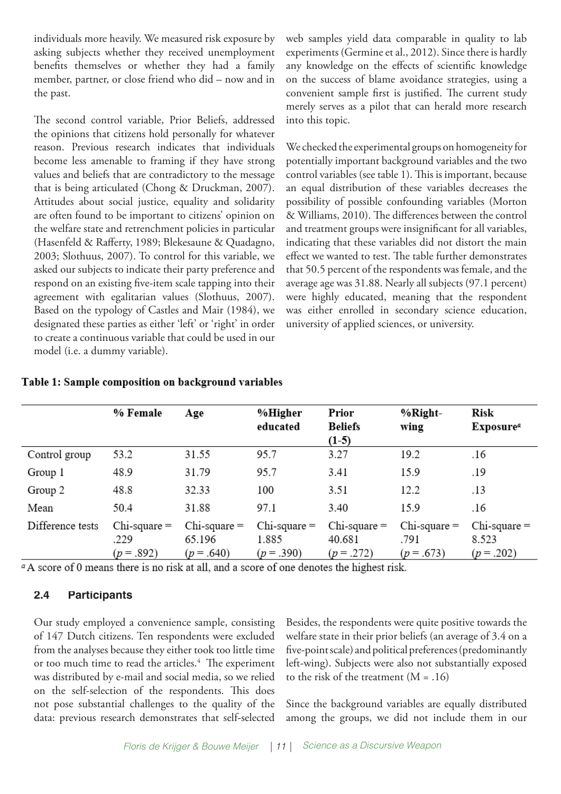individuals more heavily. We measured risk exposure by asking subjects whether they received unemployment benefits themselves or whether they had a family member, partner, or close friend who did – now and in the past.

The second control variable, Prior Beliefs, addressed the opinions that citizens hold personally for whatever reason. Previous research indicates that individuals become less amenable to framing if they have strong values and beliefs that are contradictory to the message that is being articulated (Chong & Druckman, 2007). Attitudes about social justice, equality and solidarity are often found to be important to citizens' opinion on the welfare state and retrenchment policies in particular (Hasenfeld & Rafferty, 1989; Blekesaune & Quadagno, 2003; Slothuus, 2007). To control for this variable, we asked our subjects to indicate their party preference and respond on an existing five-item scale tapping into their agreement with egalitarian values (Slothuus, 2007). Based on the typology of Castles and Mair (1984), we designated these parties as either 'left' or 'right' in order to create a continuous variable that could be used in our model (i.e. a dummy variable).

web samples yield data comparable in quality to lab experiments (Germine et al., 2012). Since there is hardly any knowledge on the effects of scientific knowledge on the success of blame avoidance strategies, using a convenient sample first is justified. The current study merely serves as a pilot that can herald more research into this topic.

We checked the experimental groups on homogeneity for potentially important background variables and the two control variables (see table 1). This is important, because an equal distribution of these variables decreases the possibility of possible confounding variables (Morton & Williams, 2010). The differences between the control and treatment groups were insignificant for all variables, indicating that these variables did not distort the main effect we wanted to test. The table further demonstrates that 50.5 percent of the respondents was female, and the average age was 31.88. Nearly all subjects (97.1 percent) were highly educated, meaning that the respondent was either enrolled in secondary science education, university of applied sciences, or university.

|                  | % Female                                | Age                                       | %Higher<br>educated                      | Prior<br><b>Beliefs</b><br>$(1-5)$        | %Right-<br>wing                         | Risk<br>Exposure <sup>a</sup>            |
|------------------|-----------------------------------------|-------------------------------------------|------------------------------------------|-------------------------------------------|-----------------------------------------|------------------------------------------|
| Control group    | 53.2                                    | 31.55                                     | 95.7                                     | 3.27                                      | 19.2                                    | .16                                      |
| Group 1          | 48.9                                    | 31.79                                     | 95.7                                     | 3.41                                      | 15.9                                    | .19                                      |
| Group 2          | 48.8                                    | 32.33                                     | 100                                      | 3.51                                      | 12.2                                    | .13                                      |
| Mean             | 50.4                                    | 31.88                                     | 97.1                                     | 3.40                                      | 15.9                                    | .16                                      |
| Difference tests | $Chi$ -square $=$<br>.229<br>$(p=.892)$ | $Chi$ -square $=$<br>65.196<br>$(p=.640)$ | $Chi$ -square $=$<br>1.885<br>$(p=.390)$ | $Chi$ -square $=$<br>40.681<br>$(p=.272)$ | $Chi$ -square $=$<br>.791<br>$(p=.673)$ | $Chi$ -square $=$<br>8.523<br>$(p=.202)$ |

#### Table 1: Sample composition on background variables

<sup>a</sup>A score of 0 means there is no risk at all, and a score of one denotes the highest risk.

#### **2.4 Participants**

Our study employed a convenience sample, consisting of 147 Dutch citizens. Ten respondents were excluded from the analyses because they either took too little time or too much time to read the articles.<sup>4</sup> The experiment was distributed by e-mail and social media, so we relied on the self-selection of the respondents. This does not pose substantial challenges to the quality of the data: previous research demonstrates that self-selected

Besides, the respondents were quite positive towards the welfare state in their prior beliefs (an average of 3.4 on a five-point scale) and political preferences (predominantly left-wing). Subjects were also not substantially exposed to the risk of the treatment  $(M = .16)$ 

Since the background variables are equally distributed among the groups, we did not include them in our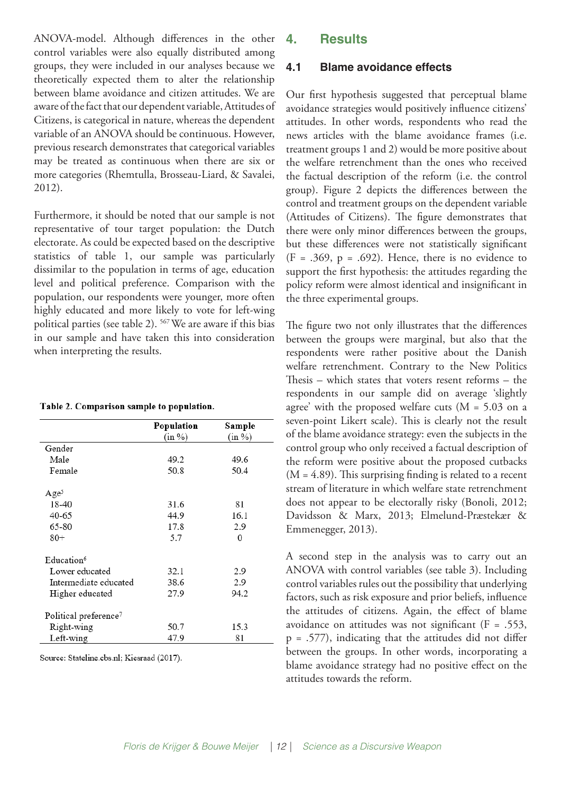ANOVA-model. Although differences in the other control variables were also equally distributed among groups, they were included in our analyses because we theoretically expected them to alter the relationship between blame avoidance and citizen attitudes. We are aware of the fact that our dependent variable, Attitudes of Citizens, is categorical in nature, whereas the dependent variable of an ANOVA should be continuous. However, previous research demonstrates that categorical variables may be treated as continuous when there are six or more categories (Rhemtulla, Brosseau-Liard, & Savalei, 2012).

Furthermore, it should be noted that our sample is not representative of tour target population: the Dutch electorate. As could be expected based on the descriptive statistics of table 1, our sample was particularly dissimilar to the population in terms of age, education level and political preference. Comparison with the population, our respondents were younger, more often highly educated and more likely to vote for left-wing political parties (see table 2). 567 We are aware if this bias in our sample and have taken this into consideration when interpreting the results.

| Table 2. Comparison sample to population. |  |
|-------------------------------------------|--|
|                                           |  |

|                                   | Population | Sample |
|-----------------------------------|------------|--------|
|                                   | (in %)     | (in %) |
| Gender                            |            |        |
| Male                              | 49.2       | 49.6   |
| Female                            | 50.8       | 50.4   |
| Age <sup>5</sup>                  |            |        |
| 18-40                             | 31.6       | 81     |
| 40-65                             | 44.9       | 16.1   |
| 65-80                             | 17.8       | 2.9    |
| $80+$                             | 5.7        | 0      |
| Education <sup>6</sup>            |            |        |
| Lower educated                    | 32.1       | 2.9    |
| Intermediate educated             | 38.6       | 2.9    |
| Higher educated                   | 27.9       | 94.2   |
| Political preference <sup>7</sup> |            |        |
| Right-wing                        | 50.7       | 15.3   |
| Left-wing                         | 47.9       | 81     |

Source: Stateline.cbs.nl; Kiesraad (2017).

#### **4. Results**

#### **4.1 Blame avoidance effects**

Our first hypothesis suggested that perceptual blame avoidance strategies would positively influence citizens' attitudes. In other words, respondents who read the news articles with the blame avoidance frames (i.e. treatment groups 1 and 2) would be more positive about the welfare retrenchment than the ones who received the factual description of the reform (i.e. the control group). Figure 2 depicts the differences between the control and treatment groups on the dependent variable (Attitudes of Citizens). The figure demonstrates that there were only minor differences between the groups, but these differences were not statistically significant  $(F = .369, p = .692)$ . Hence, there is no evidence to support the first hypothesis: the attitudes regarding the policy reform were almost identical and insignificant in the three experimental groups.

The figure two not only illustrates that the differences between the groups were marginal, but also that the respondents were rather positive about the Danish welfare retrenchment. Contrary to the New Politics Thesis – which states that voters resent reforms – the respondents in our sample did on average 'slightly agree' with the proposed welfare cuts  $(M = 5.03$  on a seven-point Likert scale). This is clearly not the result of the blame avoidance strategy: even the subjects in the control group who only received a factual description of the reform were positive about the proposed cutbacks  $(M = 4.89)$ . This surprising finding is related to a recent stream of literature in which welfare state retrenchment does not appear to be electorally risky (Bonoli, 2012; Davidsson & Marx, 2013; Elmelund-Præstekær & Emmenegger, 2013).

A second step in the analysis was to carry out an ANOVA with control variables (see table 3). Including control variables rules out the possibility that underlying factors, such as risk exposure and prior beliefs, influence the attitudes of citizens. Again, the effect of blame avoidance on attitudes was not significant ( $F = .553$ ,  $p = .577$ ), indicating that the attitudes did not differ between the groups. In other words, incorporating a blame avoidance strategy had no positive effect on the attitudes towards the reform.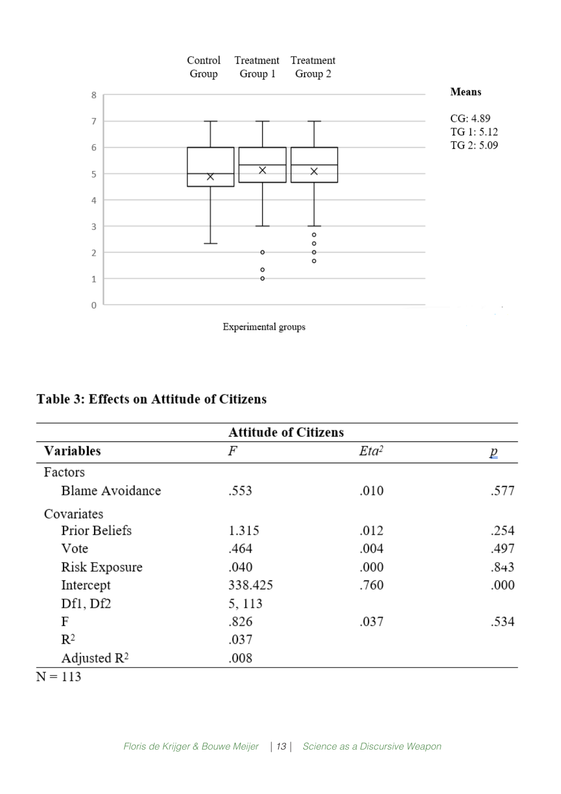

# **Table 3: Effects on Attitude of Citizens**

|                         | <b>Attitude of Citizens</b> |         |      |  |
|-------------------------|-----------------------------|---------|------|--|
| <b>Variables</b>        | F                           | $Eta^2$ | ₽    |  |
| Factors                 |                             |         |      |  |
| Blame Avoidance         | .553                        | .010    | .577 |  |
| Covariates              |                             |         |      |  |
| Prior Beliefs           | 1.315                       | .012    | .254 |  |
| Vote                    | .464                        | .004    | .497 |  |
| Risk Exposure           | .040                        | .000    | .843 |  |
| Intercept               | 338.425                     | .760    | .000 |  |
| Df1, Df2                | 5, 113                      |         |      |  |
| F                       | .826                        | .037    | .534 |  |
| $\mathbb{R}^2$          | .037                        |         |      |  |
| Adjusted $\mathbb{R}^2$ | .008                        |         |      |  |
| $N = 113$               |                             |         |      |  |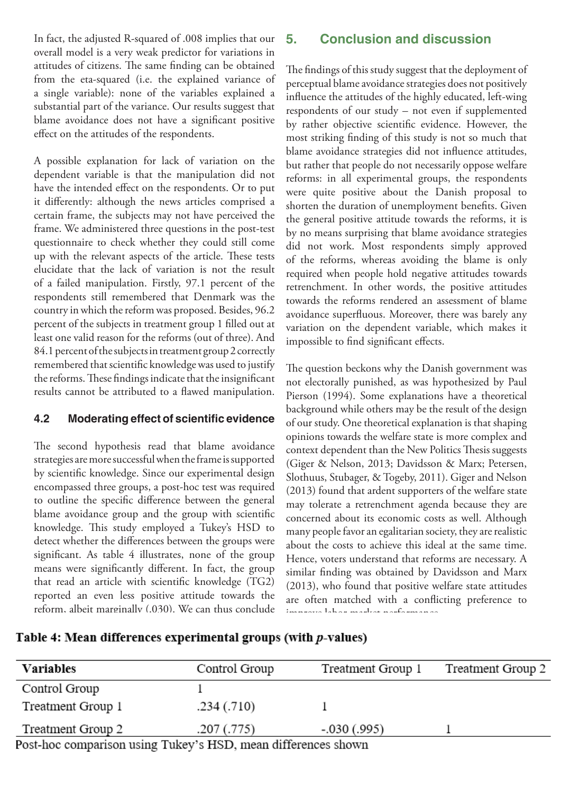In fact, the adjusted R-squared of .008 implies that our overall model is a very weak predictor for variations in attitudes of citizens. The same finding can be obtained from the eta-squared (i.e. the explained variance of a single variable): none of the variables explained a substantial part of the variance. Our results suggest that blame avoidance does not have a significant positive effect on the attitudes of the respondents.

A possible explanation for lack of variation on the dependent variable is that the manipulation did not have the intended effect on the respondents. Or to put it differently: although the news articles comprised a certain frame, the subjects may not have perceived the frame. We administered three questions in the post-test questionnaire to check whether they could still come up with the relevant aspects of the article. These tests elucidate that the lack of variation is not the result of a failed manipulation. Firstly, 97.1 percent of the respondents still remembered that Denmark was the country in which the reform was proposed. Besides, 96.2 percent of the subjects in treatment group 1 filled out at least one valid reason for the reforms (out of three). And 84.1 percent of the subjects in treatment group 2 correctly remembered that scientific knowledge was used to justify the reforms. These findings indicate that the insignificant results cannot be attributed to a flawed manipulation.

#### **4.2 Moderating effect of scientific evidence**

The second hypothesis read that blame avoidance strategies are more successful when the frame is supported by scientific knowledge. Since our experimental design encompassed three groups, a post-hoc test was required to outline the specific difference between the general blame avoidance group and the group with scientific knowledge. This study employed a Tukey's HSD to detect whether the differences between the groups were significant. As table 4 illustrates, none of the group means were significantly different. In fact, the group that read an article with scientific knowledge (TG2) reported an even less positive attitude towards the reform, albeit marginally (.030). We can thus conclude

## **5. Conclusion and discussion**

The findings of this study suggest that the deployment of perceptual blame avoidance strategies does not positively influence the attitudes of the highly educated, left-wing respondents of our study – not even if supplemented by rather objective scientific evidence. However, the most striking finding of this study is not so much that blame avoidance strategies did not influence attitudes, but rather that people do not necessarily oppose welfare reforms: in all experimental groups, the respondents were quite positive about the Danish proposal to shorten the duration of unemployment benefits. Given the general positive attitude towards the reforms, it is by no means surprising that blame avoidance strategies did not work. Most respondents simply approved of the reforms, whereas avoiding the blame is only required when people hold negative attitudes towards retrenchment. In other words, the positive attitudes towards the reforms rendered an assessment of blame avoidance superfluous. Moreover, there was barely any variation on the dependent variable, which makes it impossible to find significant effects.

The question beckons why the Danish government was not electorally punished, as was hypothesized by Paul Pierson (1994). Some explanations have a theoretical background while others may be the result of the design of our study. One theoretical explanation is that shaping opinions towards the welfare state is more complex and context dependent than the New Politics Thesis suggests (Giger & Nelson, 2013; Davidsson & Marx; Petersen, Slothuus, Stubager, & Togeby, 2011). Giger and Nelson (2013) found that ardent supporters of the welfare state may tolerate a retrenchment agenda because they are concerned about its economic costs as well. Although many people favor an egalitarian society, they are realistic about the costs to achieve this ideal at the same time. Hence, voters understand that reforms are necessary. A similar finding was obtained by Davidsson and Marx (2013), who found that positive welfare state attitudes are often matched with a conflicting preference to improve labor market performance.

#### Table 4: Mean differences experimental groups (with  $p$ -values)

| <b>Variables</b>                                              | Control Group | Treatment Group 1 | Treatment Group 2 |
|---------------------------------------------------------------|---------------|-------------------|-------------------|
| Control Group                                                 |               |                   |                   |
| Treatment Group 1                                             | .234(.710)    |                   |                   |
| Treatment Group 2                                             | .207(.775)    | $-.030(.995)$     |                   |
| Post-hoc comparison using Tukey's HSD, mean differences shown |               |                   |                   |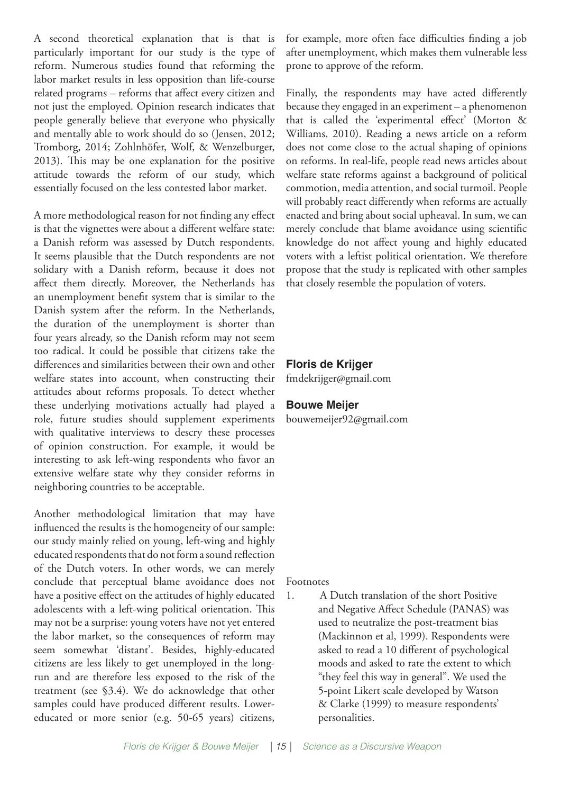A second theoretical explanation that is that is particularly important for our study is the type of reform. Numerous studies found that reforming the labor market results in less opposition than life-course related programs – reforms that affect every citizen and not just the employed. Opinion research indicates that people generally believe that everyone who physically and mentally able to work should do so (Jensen, 2012; Tromborg, 2014; Zohlnhöfer, Wolf, & Wenzelburger, 2013). This may be one explanation for the positive attitude towards the reform of our study, which essentially focused on the less contested labor market.

A more methodological reason for not finding any effect is that the vignettes were about a different welfare state: a Danish reform was assessed by Dutch respondents. It seems plausible that the Dutch respondents are not solidary with a Danish reform, because it does not affect them directly. Moreover, the Netherlands has an unemployment benefit system that is similar to the Danish system after the reform. In the Netherlands, the duration of the unemployment is shorter than four years already, so the Danish reform may not seem too radical. It could be possible that citizens take the differences and similarities between their own and other welfare states into account, when constructing their attitudes about reforms proposals. To detect whether these underlying motivations actually had played a role, future studies should supplement experiments with qualitative interviews to descry these processes of opinion construction. For example, it would be interesting to ask left-wing respondents who favor an extensive welfare state why they consider reforms in neighboring countries to be acceptable.

Another methodological limitation that may have influenced the results is the homogeneity of our sample: our study mainly relied on young, left-wing and highly educated respondents that do not form a sound reflection of the Dutch voters. In other words, we can merely conclude that perceptual blame avoidance does not have a positive effect on the attitudes of highly educated adolescents with a left-wing political orientation. This may not be a surprise: young voters have not yet entered the labor market, so the consequences of reform may seem somewhat 'distant'. Besides, highly-educated citizens are less likely to get unemployed in the longrun and are therefore less exposed to the risk of the treatment (see §3.4). We do acknowledge that other samples could have produced different results. Lowereducated or more senior (e.g. 50-65 years) citizens,

for example, more often face difficulties finding a job after unemployment, which makes them vulnerable less prone to approve of the reform.

Finally, the respondents may have acted differently because they engaged in an experiment – a phenomenon that is called the 'experimental effect' (Morton & Williams, 2010). Reading a news article on a reform does not come close to the actual shaping of opinions on reforms. In real-life, people read news articles about welfare state reforms against a background of political commotion, media attention, and social turmoil. People will probably react differently when reforms are actually enacted and bring about social upheaval. In sum, we can merely conclude that blame avoidance using scientific knowledge do not affect young and highly educated voters with a leftist political orientation. We therefore propose that the study is replicated with other samples that closely resemble the population of voters.

# **Floris de Krijger**

fmdekrijger@gmail.com

# **Bouwe Meijer**

bouwemeijer92@gmail.com

Footnotes

1. A Dutch translation of the short Positive and Negative Affect Schedule (PANAS) was used to neutralize the post-treatment bias (Mackinnon et al, 1999). Respondents were asked to read a 10 different of psychological moods and asked to rate the extent to which "they feel this way in general". We used the 5-point Likert scale developed by Watson & Clarke (1999) to measure respondents' personalities.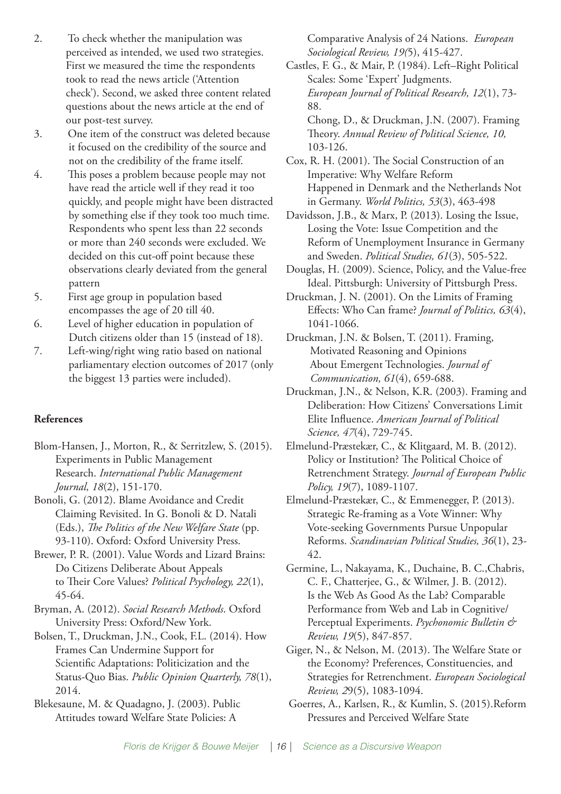- 2. To check whether the manipulation was perceived as intended, we used two strategies. First we measured the time the respondents took to read the news article ('Attention check'). Second, we asked three content related questions about the news article at the end of our post-test survey.
- 3. One item of the construct was deleted because it focused on the credibility of the source and not on the credibility of the frame itself.
- 4. This poses a problem because people may not have read the article well if they read it too quickly, and people might have been distracted by something else if they took too much time. Respondents who spent less than 22 seconds or more than 240 seconds were excluded. We decided on this cut-off point because these observations clearly deviated from the general pattern
- 5. First age group in population based encompasses the age of 20 till 40.
- 6. Level of higher education in population of Dutch citizens older than 15 (instead of 18).
- 7. Left-wing/right wing ratio based on national parliamentary election outcomes of 2017 (only the biggest 13 parties were included).

#### **References**

- Blom-Hansen, J., Morton, R., & Serritzlew, S. (2015). Experiments in Public Management Research. *International Public Management Journal, 18*(2), 151-170.
- Bonoli, G. (2012). Blame Avoidance and Credit Claiming Revisited. In G. Bonoli & D. Natali (Eds.), *The Politics of the New Welfare State* (pp. 93-110). Oxford: Oxford University Press.
- Brewer, P. R. (2001). Value Words and Lizard Brains: Do Citizens Deliberate About Appeals to Their Core Values? *Political Psychology, 22*(1), 45-64.
- Bryman, A. (2012). *Social Research Methods*. Oxford University Press: Oxford/New York.
- Bolsen, T., Druckman, J.N., Cook, F.L. (2014). How Frames Can Undermine Support for Scientific Adaptations: Politicization and the Status-Quo Bias. *Public Opinion Quarterly, 78*(1), 2014.

Blekesaune, M. & Quadagno, J. (2003). Public Attitudes toward Welfare State Policies: A

Comparative Analysis of 24 Nations. *European Sociological Review, 19(*5), 415-427.

Castles, F. G., & Mair, P. (1984). Left–Right Political Scales: Some 'Expert' Judgments. *European Journal of Political Research, 12*(1), 73- 88.

Chong, D., & Druckman, J.N. (2007). Framing Theory. *Annual Review of Political Science, 10,*  103-126.

Cox, R. H. (2001). The Social Construction of an Imperative: Why Welfare Reform Happened in Denmark and the Netherlands Not in Germany. *World Politics, 53*(3), 463-498

- Davidsson, J.B., & Marx, P. (2013). Losing the Issue, Losing the Vote: Issue Competition and the Reform of Unemployment Insurance in Germany and Sweden. *Political Studies, 61*(3), 505-522.
- Douglas, H. (2009). Science, Policy, and the Value-free Ideal. Pittsburgh: University of Pittsburgh Press.
- Druckman, J. N. (2001). On the Limits of Framing Effects: Who Can frame? *Journal of Politics, 63*(4), 1041-1066.
- Druckman, J.N. & Bolsen, T. (2011). Framing, Motivated Reasoning and Opinions About Emergent Technologies. *Journal of Communication, 61*(4), 659-688.
- Druckman, J.N., & Nelson, K.R. (2003). Framing and Deliberation: How Citizens' Conversations Limit Elite Influence. *American Journal of Political Science, 47*(4), 729-745.
- Elmelund-Præstekær, C., & Klitgaard, M. B. (2012). Policy or Institution? The Political Choice of Retrenchment Strategy. *Journal of European Public Policy, 19*(7), 1089-1107.
- Elmelund‐Præstekær, C., & Emmenegger, P. (2013). Strategic Re‐framing as a Vote Winner: Why Vote‐seeking Governments Pursue Unpopular Reforms. *Scandinavian Political Studies, 36*(1), 23- 42.
- Germine, L., Nakayama, K., Duchaine, B. C.,Chabris, C. F., Chatterjee, G., & Wilmer, J. B. (2012). Is the Web As Good As the Lab? Comparable Performance from Web and Lab in Cognitive/ Perceptual Experiments. *Psychonomic Bulletin & Review, 19*(5), 847-857.
- Giger, N., & Nelson, M. (2013). The Welfare State or the Economy? Preferences, Constituencies, and Strategies for Retrenchment. *European Sociological Review, 2*9(5), 1083-1094.

Goerres, A., Karlsen, R., & Kumlin, S. (2015).Reform Pressures and Perceived Welfare State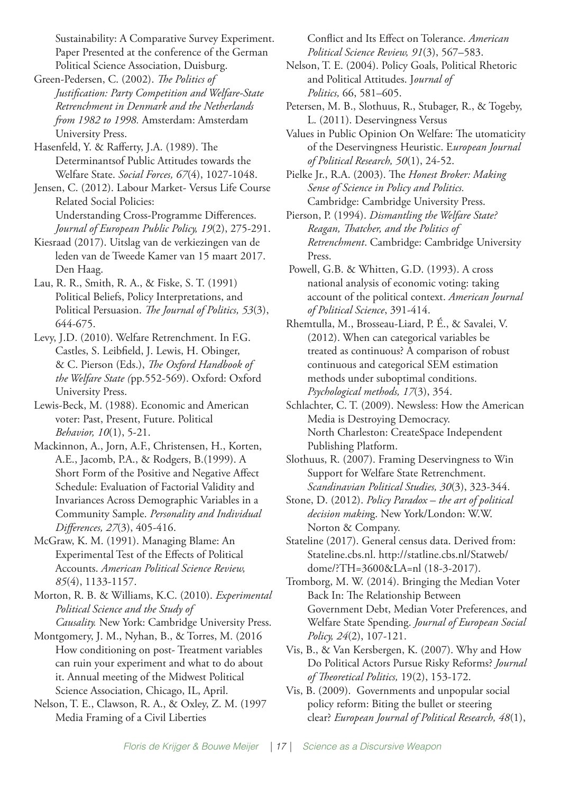Sustainability: A Comparative Survey Experiment. Paper Presented at the conference of the German Political Science Association, Duisburg.

Green-Pedersen, C. (2002). *The Politics of Justification: Party Competition and Welfare-State Retrenchment in Denmark and the Netherlands from 1982 to 1998.* Amsterdam: Amsterdam University Press.

Hasenfeld, Y. & Rafferty, J.A. (1989). The Determinantsof Public Attitudes towards the Welfare State. *Social Forces, 67*(4), 1027-1048.

Jensen, C. (2012). Labour Market- Versus Life Course Related Social Policies: Understanding Cross-Programme Differences. *Journal of European Public Policy, 19*(2), 275-291.

Kiesraad (2017). Uitslag van de verkiezingen van de leden van de Tweede Kamer van 15 maart 2017. Den Haag.

Lau, R. R., Smith, R. A., & Fiske, S. T. (1991) Political Beliefs, Policy Interpretations, and Political Persuasion. *The Journal of Politics, 53*(3), 644-675.

Levy, J.D. (2010). Welfare Retrenchment. In F.G. Castles, S. Leibfield, J. Lewis, H. Obinger, & C. Pierson (Eds.), *The Oxford Handbook of the Welfare State (*pp.552-569). Oxford: Oxford University Press.

Lewis-Beck, M. (1988). Economic and American voter: Past, Present, Future. Political *Behavior, 10*(1), 5-21.

Mackinnon, A., Jorn, A.F., Christensen, H., Korten, A.E., Jacomb, P.A., & Rodgers, B.(1999). A Short Form of the Positive and Negative Affect Schedule: Evaluation of Factorial Validity and Invariances Across Demographic Variables in a Community Sample. *Personality and Individual Differences, 27*(3), 405-416.

McGraw, K. M. (1991). Managing Blame: An Experimental Test of the Effects of Political Accounts. *American Political Science Review, 85*(4), 1133-1157.

Morton, R. B. & Williams, K.C. (2010). *Experimental Political Science and the Study of Causality.* New York: Cambridge University Press.

Montgomery, J. M., Nyhan, B., & Torres, M. (2016 How conditioning on post- Treatment variables can ruin your experiment and what to do about it. Annual meeting of the Midwest Political Science Association, Chicago, IL, April.

Nelson, T. E., Clawson, R. A., & Oxley, Z. M. (1997 Media Framing of a Civil Liberties

Conflict and Its Effect on Tolerance. *American Political Science Review, 91*(3), 567–583.

Nelson, T. E. (2004). Policy Goals, Political Rhetoric and Political Attitudes. J*ournal of Politics,* 66, 581–605.

Petersen, M. B., Slothuus, R., Stubager, R., & Togeby, L. (2011). Deservingness Versus

Values in Public Opinion On Welfare: The utomaticity of the Deservingness Heuristic. E*uropean Journal of Political Research, 50*(1), 24-52.

Pielke Jr., R.A. (2003). The *Honest Broker: Making Sense of Science in Policy and Politics.* Cambridge: Cambridge University Press.

Pierson, P. (1994). *Dismantling the Welfare State? Reagan, Thatcher, and the Politics of Retrenchment*. Cambridge: Cambridge University Press.

Powell, G.B. & Whitten, G.D. (1993). A cross national analysis of economic voting: taking account of the political context. *American Journal of Political Science*, 391-414.

Rhemtulla, M., Brosseau-Liard, P. É., & Savalei, V. (2012). When can categorical variables be treated as continuous? A comparison of robust continuous and categorical SEM estimation methods under suboptimal conditions. *Psychological methods, 17*(3), 354.

Schlachter, C. T. (2009). Newsless: How the American Media is Destroying Democracy. North Charleston: CreateSpace Independent Publishing Platform.

Slothuus, R. (2007). Framing Deservingness to Win Support for Welfare State Retrenchment. *Scandinavian Political Studies, 30*(3), 323-344.

Stone, D. (2012). *Policy Paradox – the art of political decision makin*g. New York/London: W.W. Norton & Company.

Stateline (2017). General census data. Derived from: Stateline.cbs.nl. http://statline.cbs.nl/Statweb/ dome/?TH=3600&LA=nl (18-3-2017).

Tromborg, M. W. (2014). Bringing the Median Voter Back In: The Relationship Between Government Debt, Median Voter Preferences, and Welfare State Spending. *Journal of European Social Policy, 24*(2), 107-121.

Vis, B., & Van Kersbergen, K. (2007). Why and How Do Political Actors Pursue Risky Reforms? *Journal of Theoretical Politics,* 19(2), 153-172.

Vis, B. (2009). Governments and unpopular social policy reform: Biting the bullet or steering clear? *European Journal of Political Research, 48*(1),